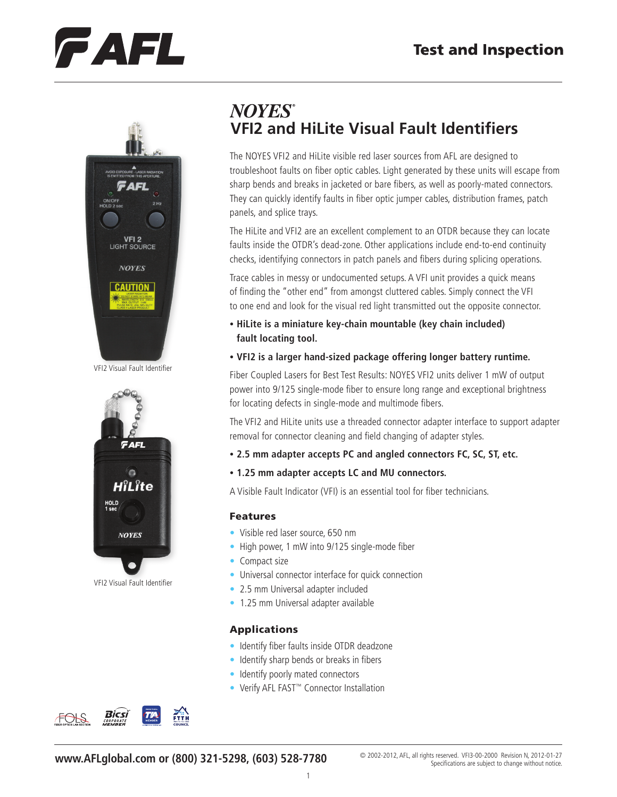# FAFL



VFI2 Visual Fault Identifier



VFI2 Visual Fault Identifier

## **NOYES® VFI2 and HiLite Visual Fault Identifiers**

The NOYES VFI2 and HiLite visible red laser sources from AFL are designed to troubleshoot faults on fiber optic cables. Light generated by these units will escape from sharp bends and breaks in jacketed or bare fibers, as well as poorly-mated connectors. They can quickly identify faults in fiber optic jumper cables, distribution frames, patch panels, and splice trays.

The HiLite and VFI2 are an excellent complement to an OTDR because they can locate faults inside the OTDR's dead-zone. Other applications include end-to-end continuity checks, identifying connectors in patch panels and fibers during splicing operations.

Trace cables in messy or undocumented setups. A VFI unit provides a quick means of finding the "other end" from amongst cluttered cables. Simply connect the VFI to one end and look for the visual red light transmitted out the opposite connector.

- **• HiLite is a miniature key-chain mountable (key chain included) fault locating tool.**
- **• VFI2 is a larger hand-sized package offering longer battery runtime.**

Fiber Coupled Lasers for Best Test Results: NOYES VFI2 units deliver 1 mW of output power into 9/125 single-mode fiber to ensure long range and exceptional brightness for locating defects in single-mode and multimode fibers.

The VFI2 and HiLite units use a threaded connector adapter interface to support adapter removal for connector cleaning and field changing of adapter styles.

- **• 2.5 mm adapter accepts PC and angled connectors FC, SC, ST, etc.**
- **• 1.25 mm adapter accepts LC and MU connectors.**

A Visible Fault Indicator (VFI) is an essential tool for fiber technicians.

#### Features

- Visible red laser source, 650 nm
- High power, 1 mW into 9/125 single-mode fiber
- Compact size
- Universal connector interface for quick connection
- 2.5 mm Universal adapter included
- 1.25 mm Universal adapter available

### Applications

- Identify fiber faults inside OTDR deadzone
- Identify sharp bends or breaks in fibers
- Identify poorly mated connectors
- Verify AFL FAST™ Connector Installation